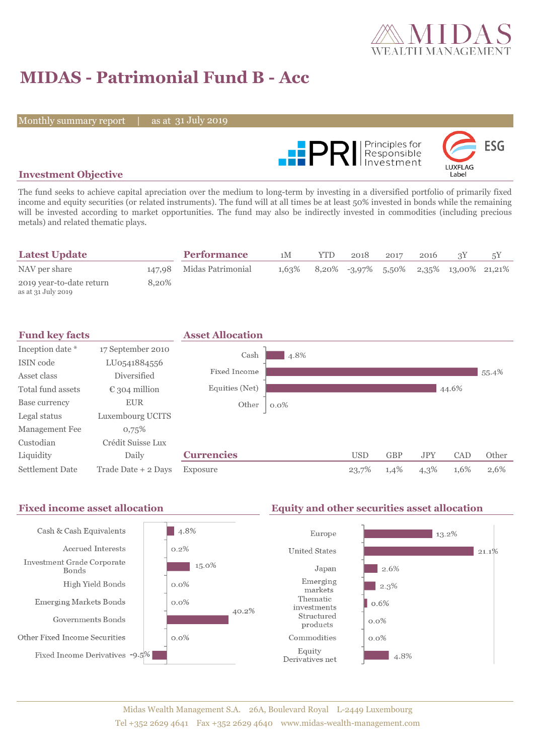

# **MIDAS - Patrimonial Fund B - Acc**

Monthly summary report

31 July 2019



### **Investment Objective**

The fund seeks to achieve capital apreciation over the medium to long-term by investing in a diversified portfolio of primarily fixed income and equity securities (or related instruments). The fund will at all times be at least 50% invested in bonds while the remaining will be invested according to market opportunities. The fund may also be indirectly invested in commodities (including precious metals) and related thematic plays.

| <b>Latest Update</b>                           |       | <b>Performance</b>       | 1M    | YTD | 2018 | 2017 | 2016 |                                           |  |
|------------------------------------------------|-------|--------------------------|-------|-----|------|------|------|-------------------------------------------|--|
| NAV per share                                  |       | 147,98 Midas Patrimonial | 1,63% |     |      |      |      | $8,20\%$ -3,97% 5,50% 2,35% 13,00% 21,21% |  |
| 2019 year-to-date return<br>as at 31 July 2019 | 8,20% |                          |       |     |      |      |      |                                           |  |



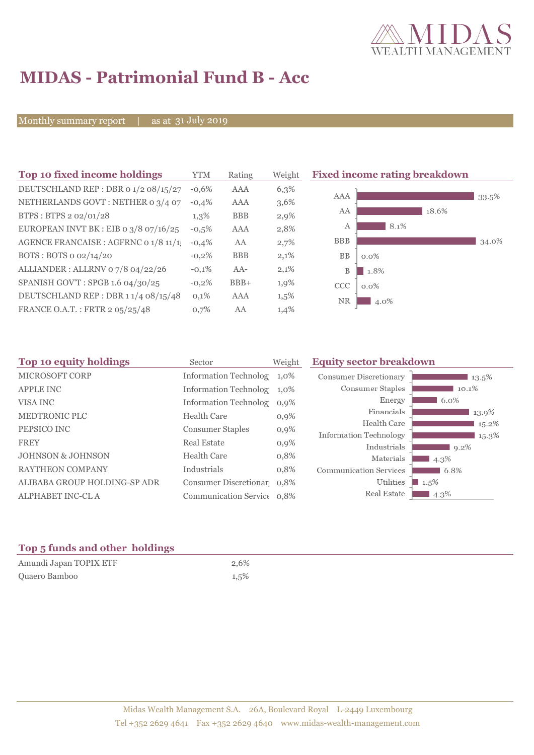

## **MIDAS - Patrimonial Fund B - Acc**

Monthly summary report

31 July 2019

| Top 10 fixed income holdings          | YTM     | Rating     | Weigh |
|---------------------------------------|---------|------------|-------|
| DEUTSCHLAND REP : DBR 0 1/2 08/15/27  | $-0.6%$ | AAA        | 6,3%  |
| NETHERLANDS GOVT: NETHER 0 3/4 07     | $-0.4%$ | AAA        | 3,6%  |
| BTPS: BTPS 2 02/01/28                 | $1,3\%$ | <b>BBB</b> | 2,9%  |
| EUROPEAN INVT BK : EIB o 3/8 07/16/25 | $-0,5%$ | AAA        | 2,8%  |
| AGENCE FRANCAISE : AGFRNC 0 1/8 11/1! | $-0.4%$ | AA         | 2,7%  |
| BOTS: BOTS 0 02/14/20                 | $-0.2%$ | <b>BBB</b> | 2,1%  |
| ALLIANDER: ALLRNV 07/8 04/22/26       | $-0.1%$ | $AA-$      | 2,1%  |
| SPANISH GOV'T: SPGB 1.6 04/30/25      | $-0.2%$ | $BBB+$     | 1,9%  |
| DEUTSCHLAND REP: DBR 11/4 08/15/48    | 0,1%    | AAA        | 1,5%  |
| FRANCE O.A.T.: FRTR 2 05/25/48        | 0.7%    | AA         | 1,4%  |

**The 10 fixed income rating breakdown** 



| Top 10 equity holdings<br>Sector |                                               | <b>Equity sector breakdown</b>                                                                                                                                                     |         |
|----------------------------------|-----------------------------------------------|------------------------------------------------------------------------------------------------------------------------------------------------------------------------------------|---------|
|                                  |                                               | <b>Consumer Discretionary</b>                                                                                                                                                      | 13.5%   |
|                                  |                                               | <b>Consumer Staples</b>                                                                                                                                                            | 10.1%   |
|                                  |                                               | Energy                                                                                                                                                                             | 6.0%    |
|                                  |                                               | Financials                                                                                                                                                                         | 13.9%   |
|                                  |                                               | Health Care                                                                                                                                                                        | 15.2%   |
|                                  |                                               | Information Technology                                                                                                                                                             | 15.3%   |
| <b>Real Estate</b>               | $0,9\%$                                       | Industrials                                                                                                                                                                        | 9.2%    |
| <b>Health Care</b>               | 0,8%                                          | Materials                                                                                                                                                                          | 4.3%    |
| Industrials                      | 0,8%                                          | <b>Communication Services</b>                                                                                                                                                      | 6.8%    |
|                                  |                                               | Utilities                                                                                                                                                                          | $1.5\%$ |
|                                  |                                               | Real Estate                                                                                                                                                                        | 4.3%    |
|                                  | <b>Health Care</b><br><b>Consumer Staples</b> | Weight<br>Information Technolog 1,0%<br>Information Technolog 1,0%<br>Information Technolog 0,9%<br>$0,9\%$<br>$0,9\%$<br>Consumer Discretionar 0,8%<br>Communication Service 0,8% |         |

### **Top 5 funds and other holdings**

| Amundi Japan TOPIX ETF | 2.6% |
|------------------------|------|
| Quaero Bamboo          | 1,5% |